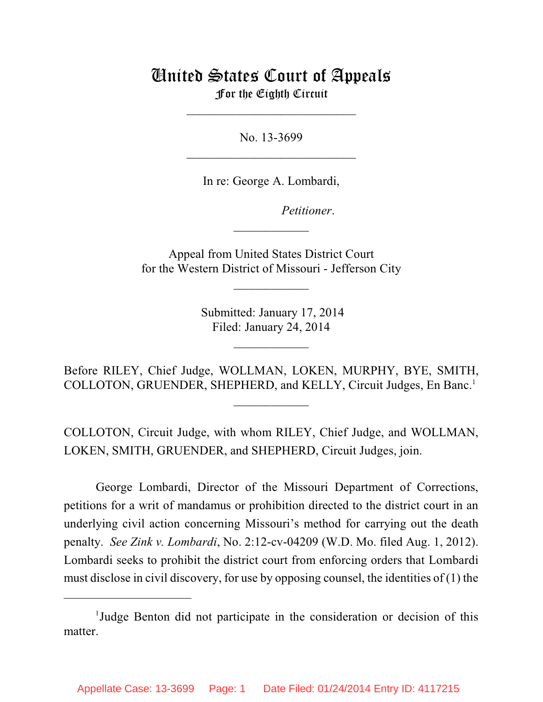# United States Court of Appeals For the Eighth Circuit

\_\_\_\_\_\_\_\_\_\_\_\_\_\_\_\_\_\_\_\_\_\_\_\_\_\_\_

No. 13-3699  $\mathcal{L}_\text{max}$  , which is a set of the set of the set of the set of the set of the set of the set of the set of the set of the set of the set of the set of the set of the set of the set of the set of the set of the set of

In re: George A. Lombardi,

*Petitioner.* 

 Appeal from United States District Court for the Western District of Missouri - Jefferson City

 $\overline{\phantom{a}}$  , where  $\overline{\phantom{a}}$ 

 $\frac{1}{2}$ 

 Submitted: January 17, 2014 Filed: January 24, 2014

 $\frac{1}{2}$ 

Before RILEY, Chief Judge, WOLLMAN, LOKEN, MURPHY, BYE, SMITH, COLLOTON, GRUENDER, SHEPHERD, and KELLY, Circuit Judges, En Banc.<sup>1</sup>

 $\frac{1}{2}$ 

COLLOTON, Circuit Judge, with whom RILEY, Chief Judge, and WOLLMAN, LOKEN, SMITH, GRUENDER, and SHEPHERD, Circuit Judges, join.

George Lombardi, Director of the Missouri Department of Corrections, petitions for a writ of mandamus or prohibition directed to the district court in an underlying civil action concerning Missouri's method for carrying out the death penalty. *See Zink v. Lombardi*, No. 2:12-cv-04209 (W.D. Mo. filed Aug. 1, 2012). Lombardi seeks to prohibit the district court from enforcing orders that Lombardi must disclose in civil discovery, for use by opposing counsel, the identities of (1) the

<sup>&</sup>lt;sup>1</sup>Judge Benton did not participate in the consideration or decision of this matter.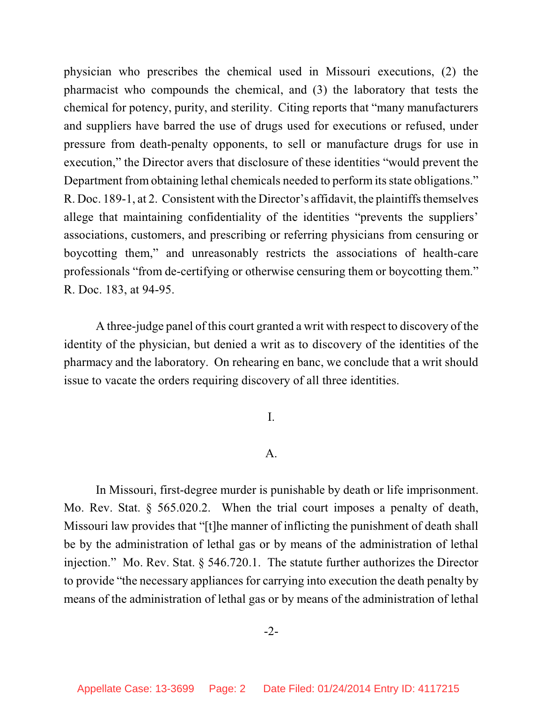physician who prescribes the chemical used in Missouri executions, (2) the pharmacist who compounds the chemical, and (3) the laboratory that tests the chemical for potency, purity, and sterility. Citing reports that "many manufacturers and suppliers have barred the use of drugs used for executions or refused, under pressure from death-penalty opponents, to sell or manufacture drugs for use in execution," the Director avers that disclosure of these identities "would prevent the Department from obtaining lethal chemicals needed to perform its state obligations." R. Doc. 189-1, at 2. Consistent with the Director's affidavit, the plaintiffs themselves allege that maintaining confidentiality of the identities "prevents the suppliers' associations, customers, and prescribing or referring physicians from censuring or boycotting them," and unreasonably restricts the associations of health-care professionals "from de-certifying or otherwise censuring them or boycotting them." R. Doc. 183, at 94-95.

A three-judge panel of this court granted a writ with respect to discovery of the identity of the physician, but denied a writ as to discovery of the identities of the pharmacy and the laboratory. On rehearing en banc, we conclude that a writ should issue to vacate the orders requiring discovery of all three identities.

## I.

### A.

In Missouri, first-degree murder is punishable by death or life imprisonment. Mo. Rev. Stat. § 565.020.2. When the trial court imposes a penalty of death, Missouri law provides that "[t]he manner of inflicting the punishment of death shall be by the administration of lethal gas or by means of the administration of lethal injection." Mo. Rev. Stat. § 546.720.1. The statute further authorizes the Director to provide "the necessary appliances for carrying into execution the death penalty by means of the administration of lethal gas or by means of the administration of lethal

#### -2-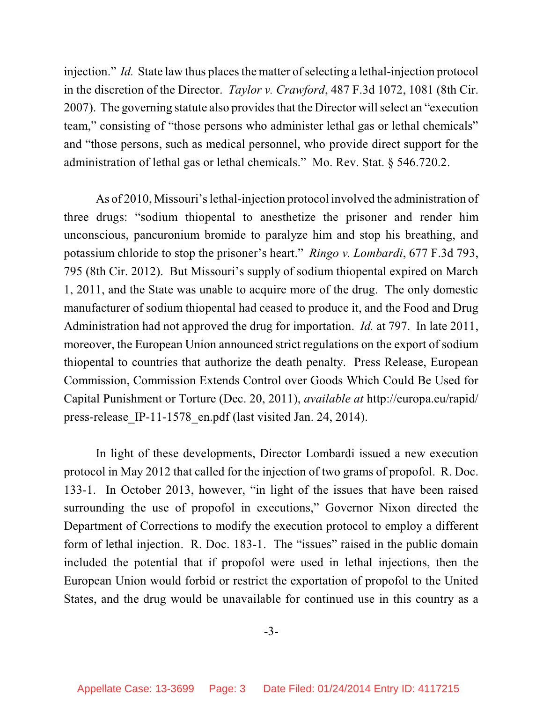injection." *Id.* State law thus places the matter of selecting a lethal-injection protocol in the discretion of the Director. *Taylor v. Crawford*, 487 F.3d 1072, 1081 (8th Cir. 2007). The governing statute also provides that the Director will select an "execution" team," consisting of "those persons who administer lethal gas or lethal chemicals" and "those persons, such as medical personnel, who provide direct support for the administration of lethal gas or lethal chemicals." Mo. Rev. Stat. § 546.720.2.

As of 2010, Missouri's lethal-injection protocol involved the administration of three drugs: "sodium thiopental to anesthetize the prisoner and render him unconscious, pancuronium bromide to paralyze him and stop his breathing, and potassium chloride to stop the prisoner's heart." *Ringo v. Lombardi*, 677 F.3d 793, 795 (8th Cir. 2012). But Missouri's supply of sodium thiopental expired on March 1, 2011, and the State was unable to acquire more of the drug. The only domestic manufacturer of sodium thiopental had ceased to produce it, and the Food and Drug Administration had not approved the drug for importation. *Id.* at 797. In late 2011, moreover, the European Union announced strict regulations on the export of sodium thiopental to countries that authorize the death penalty. Press Release, European Commission, Commission Extends Control over Goods Which Could Be Used for Capital Punishment or Torture (Dec. 20, 2011), *available at* http://europa.eu/rapid/ press-release IP-11-1578 en.pdf (last visited Jan. 24, 2014).

In light of these developments, Director Lombardi issued a new execution protocol in May 2012 that called for the injection of two grams of propofol. R. Doc. 133-1. In October 2013, however, "in light of the issues that have been raised surrounding the use of propofol in executions," Governor Nixon directed the Department of Corrections to modify the execution protocol to employ a different form of lethal injection. R. Doc. 183-1. The "issues" raised in the public domain included the potential that if propofol were used in lethal injections, then the European Union would forbid or restrict the exportation of propofol to the United States, and the drug would be unavailable for continued use in this country as a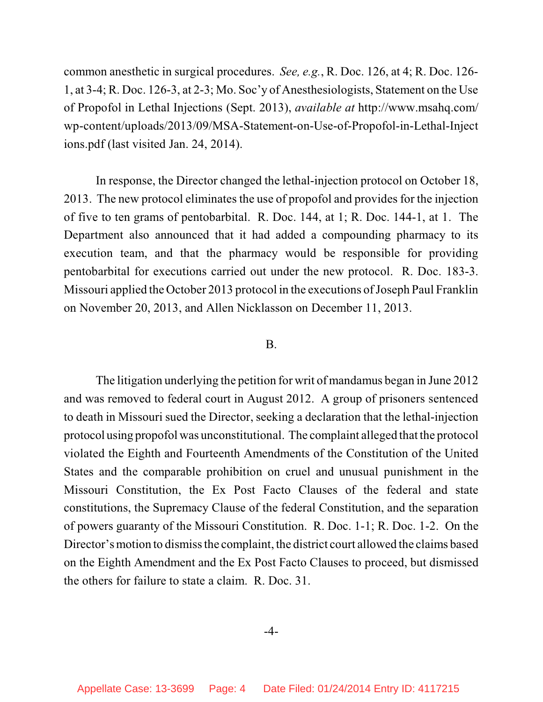common anesthetic in surgical procedures. *See, e.g.*, R. Doc. 126, at 4; R. Doc. 126- 1, at 3-4; R. Doc. 126-3, at 2-3; Mo. Soc'y of Anesthesiologists, Statement on the Use of Propofol in Lethal Injections (Sept. 2013), *available at* http://www.msahq.com/ wp-content/uploads/2013/09/MSA-Statement-on-Use-of-Propofol-in-Lethal-Inject ions.pdf (last visited Jan. 24, 2014).

In response, the Director changed the lethal-injection protocol on October 18, 2013. The new protocol eliminates the use of propofol and provides for the injection of five to ten grams of pentobarbital. R. Doc. 144, at 1; R. Doc. 144-1, at 1. The Department also announced that it had added a compounding pharmacy to its execution team, and that the pharmacy would be responsible for providing pentobarbital for executions carried out under the new protocol. R. Doc. 183-3. Missouri applied the October 2013 protocol in the executions of Joseph Paul Franklin on November 20, 2013, and Allen Nicklasson on December 11, 2013.

#### B.

The litigation underlying the petition for writ of mandamus began in June 2012 and was removed to federal court in August 2012. A group of prisoners sentenced to death in Missouri sued the Director, seeking a declaration that the lethal-injection protocol using propofol was unconstitutional. The complaint alleged that the protocol violated the Eighth and Fourteenth Amendments of the Constitution of the United States and the comparable prohibition on cruel and unusual punishment in the Missouri Constitution, the Ex Post Facto Clauses of the federal and state constitutions, the Supremacy Clause of the federal Constitution, and the separation of powers guaranty of the Missouri Constitution. R. Doc. 1-1; R. Doc. 1-2. On the Director's motion to dismiss the complaint, the district court allowed the claims based on the Eighth Amendment and the Ex Post Facto Clauses to proceed, but dismissed the others for failure to state a claim. R. Doc. 31.

#### -4-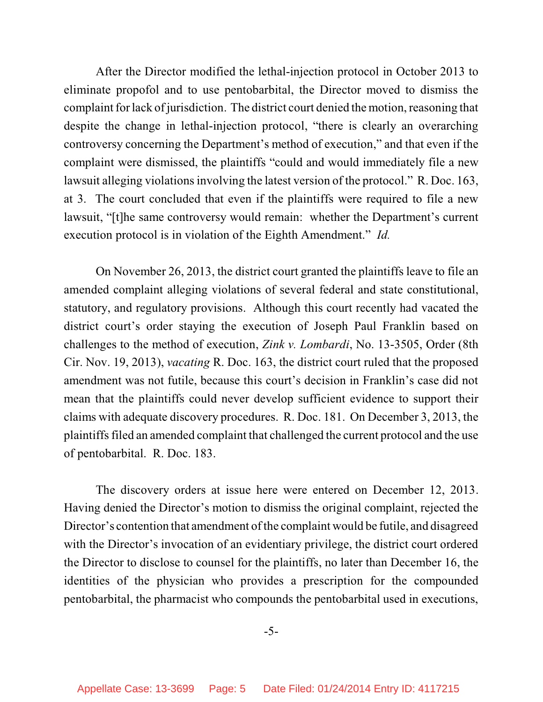After the Director modified the lethal-injection protocol in October 2013 to eliminate propofol and to use pentobarbital, the Director moved to dismiss the complaint for lack of jurisdiction. The district court denied the motion, reasoning that despite the change in lethal-injection protocol, "there is clearly an overarching controversy concerning the Department's method of execution," and that even if the complaint were dismissed, the plaintiffs "could and would immediately file a new lawsuit alleging violations involving the latest version of the protocol." R. Doc. 163, at 3. The court concluded that even if the plaintiffs were required to file a new lawsuit, "[t]he same controversy would remain: whether the Department's current execution protocol is in violation of the Eighth Amendment." *Id.*

On November 26, 2013, the district court granted the plaintiffs leave to file an amended complaint alleging violations of several federal and state constitutional, statutory, and regulatory provisions. Although this court recently had vacated the district court's order staying the execution of Joseph Paul Franklin based on challenges to the method of execution, *Zink v. Lombardi*, No. 13-3505, Order (8th Cir. Nov. 19, 2013), *vacating* R. Doc. 163, the district court ruled that the proposed amendment was not futile, because this court's decision in Franklin's case did not mean that the plaintiffs could never develop sufficient evidence to support their claims with adequate discovery procedures. R. Doc. 181. On December 3, 2013, the plaintiffs filed an amended complaint that challenged the current protocol and the use of pentobarbital. R. Doc. 183.

The discovery orders at issue here were entered on December 12, 2013. Having denied the Director's motion to dismiss the original complaint, rejected the Director's contention that amendment of the complaint would be futile, and disagreed with the Director's invocation of an evidentiary privilege, the district court ordered the Director to disclose to counsel for the plaintiffs, no later than December 16, the identities of the physician who provides a prescription for the compounded pentobarbital, the pharmacist who compounds the pentobarbital used in executions,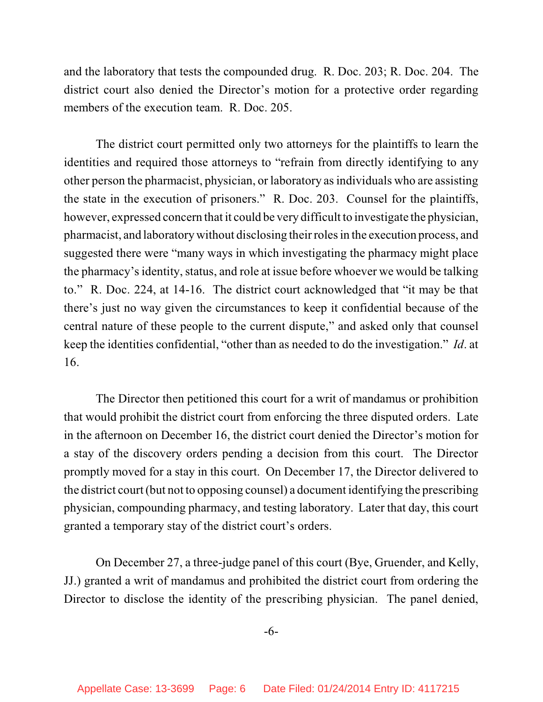and the laboratory that tests the compounded drug. R. Doc. 203; R. Doc. 204. The district court also denied the Director's motion for a protective order regarding members of the execution team. R. Doc. 205.

The district court permitted only two attorneys for the plaintiffs to learn the identities and required those attorneys to "refrain from directly identifying to any other person the pharmacist, physician, or laboratory asindividuals who are assisting the state in the execution of prisoners." R. Doc. 203. Counsel for the plaintiffs, however, expressed concern that it could be very difficult to investigate the physician, pharmacist, and laboratorywithout disclosing their roles in the execution process, and suggested there were "many ways in which investigating the pharmacy might place the pharmacy's identity, status, and role at issue before whoever we would be talking to." R. Doc. 224, at 14-16. The district court acknowledged that "it may be that there's just no way given the circumstances to keep it confidential because of the central nature of these people to the current dispute," and asked only that counsel keep the identities confidential, "other than as needed to do the investigation." *Id*. at 16.

The Director then petitioned this court for a writ of mandamus or prohibition that would prohibit the district court from enforcing the three disputed orders. Late in the afternoon on December 16, the district court denied the Director's motion for a stay of the discovery orders pending a decision from this court. The Director promptly moved for a stay in this court. On December 17, the Director delivered to the district court (but not to opposing counsel) a document identifying the prescribing physician, compounding pharmacy, and testing laboratory. Later that day, this court granted a temporary stay of the district court's orders.

On December 27, a three-judge panel of this court (Bye, Gruender, and Kelly, JJ.) granted a writ of mandamus and prohibited the district court from ordering the Director to disclose the identity of the prescribing physician. The panel denied,

-6-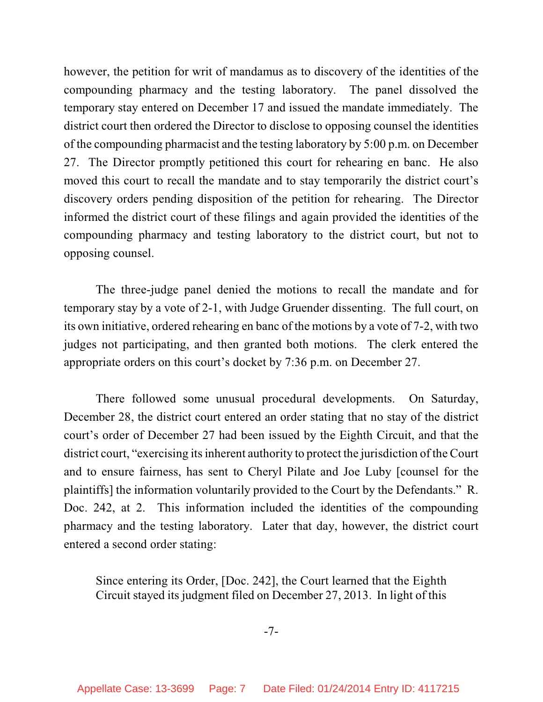however, the petition for writ of mandamus as to discovery of the identities of the compounding pharmacy and the testing laboratory. The panel dissolved the temporary stay entered on December 17 and issued the mandate immediately. The district court then ordered the Director to disclose to opposing counsel the identities of the compounding pharmacist and the testing laboratory by 5:00 p.m. on December 27. The Director promptly petitioned this court for rehearing en banc. He also moved this court to recall the mandate and to stay temporarily the district court's discovery orders pending disposition of the petition for rehearing. The Director informed the district court of these filings and again provided the identities of the compounding pharmacy and testing laboratory to the district court, but not to opposing counsel.

The three-judge panel denied the motions to recall the mandate and for temporary stay by a vote of 2-1, with Judge Gruender dissenting. The full court, on its own initiative, ordered rehearing en banc of the motions by a vote of 7-2, with two judges not participating, and then granted both motions. The clerk entered the appropriate orders on this court's docket by 7:36 p.m. on December 27.

There followed some unusual procedural developments. On Saturday, December 28, the district court entered an order stating that no stay of the district court's order of December 27 had been issued by the Eighth Circuit, and that the district court, "exercising its inherent authority to protect the jurisdiction of the Court and to ensure fairness, has sent to Cheryl Pilate and Joe Luby [counsel for the plaintiffs] the information voluntarily provided to the Court by the Defendants." R. Doc. 242, at 2. This information included the identities of the compounding pharmacy and the testing laboratory. Later that day, however, the district court entered a second order stating:

Since entering its Order, [Doc. 242], the Court learned that the Eighth Circuit stayed its judgment filed on December 27, 2013. In light of this

-7-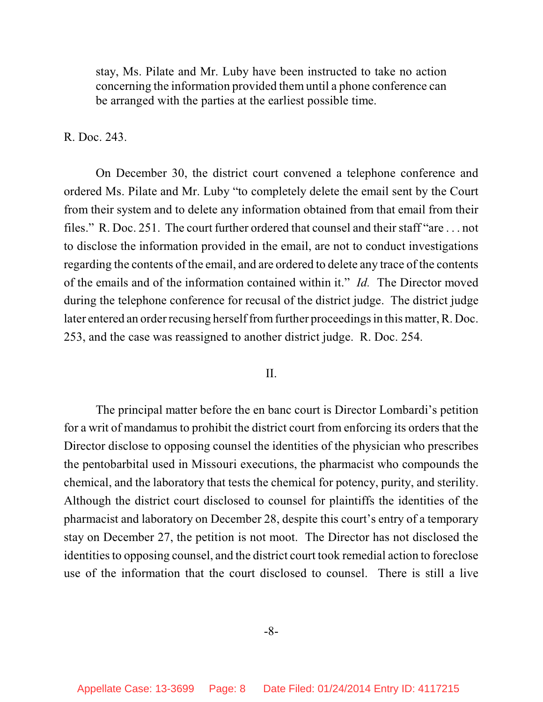stay, Ms. Pilate and Mr. Luby have been instructed to take no action concerning the information provided them until a phone conference can be arranged with the parties at the earliest possible time.

## R. Doc. 243.

On December 30, the district court convened a telephone conference and ordered Ms. Pilate and Mr. Luby "to completely delete the email sent by the Court from their system and to delete any information obtained from that email from their files." R. Doc. 251. The court further ordered that counsel and their staff "are . . . not to disclose the information provided in the email, are not to conduct investigations regarding the contents of the email, and are ordered to delete any trace of the contents of the emails and of the information contained within it." *Id.* The Director moved during the telephone conference for recusal of the district judge. The district judge later entered an order recusing herself from further proceedings in this matter, R. Doc. 253, and the case was reassigned to another district judge. R. Doc. 254.

## II.

The principal matter before the en banc court is Director Lombardi's petition for a writ of mandamus to prohibit the district court from enforcing its orders that the Director disclose to opposing counsel the identities of the physician who prescribes the pentobarbital used in Missouri executions, the pharmacist who compounds the chemical, and the laboratory that tests the chemical for potency, purity, and sterility. Although the district court disclosed to counsel for plaintiffs the identities of the pharmacist and laboratory on December 28, despite this court's entry of a temporary stay on December 27, the petition is not moot. The Director has not disclosed the identities to opposing counsel, and the district court took remedial action to foreclose use of the information that the court disclosed to counsel. There is still a live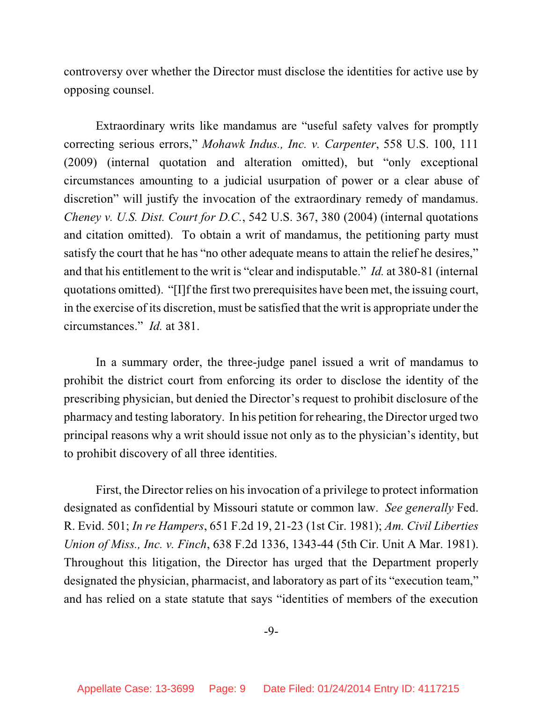controversy over whether the Director must disclose the identities for active use by opposing counsel.

Extraordinary writs like mandamus are "useful safety valves for promptly correcting serious errors," *Mohawk Indus., Inc. v. Carpenter*, 558 U.S. 100, 111 (2009) (internal quotation and alteration omitted), but "only exceptional circumstances amounting to a judicial usurpation of power or a clear abuse of discretion" will justify the invocation of the extraordinary remedy of mandamus. *Cheney v. U.S. Dist. Court for D.C.*, 542 U.S. 367, 380 (2004) (internal quotations and citation omitted). To obtain a writ of mandamus, the petitioning party must satisfy the court that he has "no other adequate means to attain the relief he desires," and that his entitlement to the writ is "clear and indisputable." *Id.* at 380-81 (internal quotations omitted). "[I]f the first two prerequisites have been met, the issuing court, in the exercise of its discretion, must be satisfied that the writ is appropriate under the circumstances." *Id.* at 381.

In a summary order, the three-judge panel issued a writ of mandamus to prohibit the district court from enforcing its order to disclose the identity of the prescribing physician, but denied the Director's request to prohibit disclosure of the pharmacy and testing laboratory. In his petition for rehearing, the Director urged two principal reasons why a writ should issue not only as to the physician's identity, but to prohibit discovery of all three identities.

First, the Director relies on his invocation of a privilege to protect information designated as confidential by Missouri statute or common law. *See generally* Fed. R. Evid. 501; *In re Hampers*, 651 F.2d 19, 21-23 (1st Cir. 1981); *Am. Civil Liberties Union of Miss., Inc. v. Finch*, 638 F.2d 1336, 1343-44 (5th Cir. Unit A Mar. 1981). Throughout this litigation, the Director has urged that the Department properly designated the physician, pharmacist, and laboratory as part of its "execution team," and has relied on a state statute that says "identities of members of the execution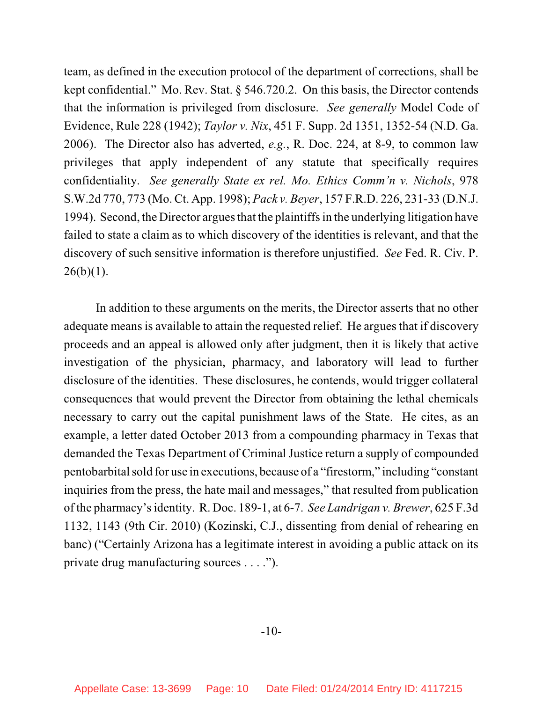team, as defined in the execution protocol of the department of corrections, shall be kept confidential." Mo. Rev. Stat. § 546.720.2. On this basis, the Director contends that the information is privileged from disclosure. *See generally* Model Code of Evidence, Rule 228 (1942); *Taylor v. Nix*, 451 F. Supp. 2d 1351, 1352-54 (N.D. Ga. 2006). The Director also has adverted, *e.g.*, R. Doc. 224, at 8-9, to common law privileges that apply independent of any statute that specifically requires confidentiality. *See generally State ex rel. Mo. Ethics Comm'n v. Nichols*, 978 S.W.2d 770, 773 (Mo. Ct. App. 1998); *Pack v. Beyer*, 157 F.R.D. 226, 231-33 (D.N.J. 1994). Second, the Director argues that the plaintiffs in the underlying litigation have failed to state a claim as to which discovery of the identities is relevant, and that the discovery of such sensitive information is therefore unjustified. *See* Fed. R. Civ. P.  $26(b)(1)$ .

In addition to these arguments on the merits, the Director asserts that no other adequate means is available to attain the requested relief. He argues that if discovery proceeds and an appeal is allowed only after judgment, then it is likely that active investigation of the physician, pharmacy, and laboratory will lead to further disclosure of the identities. These disclosures, he contends, would trigger collateral consequences that would prevent the Director from obtaining the lethal chemicals necessary to carry out the capital punishment laws of the State. He cites, as an example, a letter dated October 2013 from a compounding pharmacy in Texas that demanded the Texas Department of Criminal Justice return a supply of compounded pentobarbital sold for use in executions, because of a "firestorm," including "constant inquiries from the press, the hate mail and messages," that resulted from publication of the pharmacy's identity. R. Doc. 189-1, at 6-7. *See Landrigan v. Brewer*, 625 F.3d 1132, 1143 (9th Cir. 2010) (Kozinski, C.J., dissenting from denial of rehearing en banc) ("Certainly Arizona has a legitimate interest in avoiding a public attack on its private drug manufacturing sources . . . .").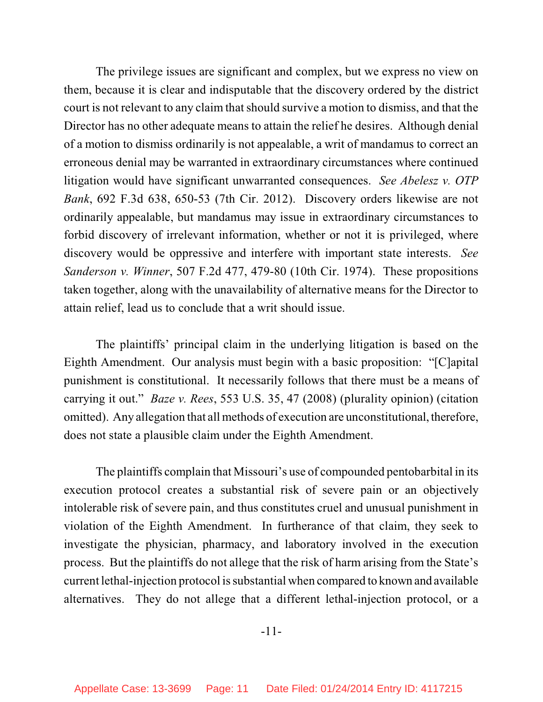The privilege issues are significant and complex, but we express no view on them, because it is clear and indisputable that the discovery ordered by the district court is not relevant to any claim that should survive a motion to dismiss, and that the Director has no other adequate means to attain the relief he desires. Although denial of a motion to dismiss ordinarily is not appealable, a writ of mandamus to correct an erroneous denial may be warranted in extraordinary circumstances where continued litigation would have significant unwarranted consequences. *See Abelesz v. OTP Bank*, 692 F.3d 638, 650-53 (7th Cir. 2012). Discovery orders likewise are not ordinarily appealable, but mandamus may issue in extraordinary circumstances to forbid discovery of irrelevant information, whether or not it is privileged, where discovery would be oppressive and interfere with important state interests. *See Sanderson v. Winner*, 507 F.2d 477, 479-80 (10th Cir. 1974). These propositions taken together, along with the unavailability of alternative means for the Director to attain relief, lead us to conclude that a writ should issue.

The plaintiffs' principal claim in the underlying litigation is based on the Eighth Amendment. Our analysis must begin with a basic proposition: "[C]apital punishment is constitutional. It necessarily follows that there must be a means of carrying it out." *Baze v. Rees*, 553 U.S. 35, 47 (2008) (plurality opinion) (citation omitted). Any allegation that all methods of execution are unconstitutional, therefore, does not state a plausible claim under the Eighth Amendment.

The plaintiffs complain that Missouri's use of compounded pentobarbital in its execution protocol creates a substantial risk of severe pain or an objectively intolerable risk of severe pain, and thus constitutes cruel and unusual punishment in violation of the Eighth Amendment. In furtherance of that claim, they seek to investigate the physician, pharmacy, and laboratory involved in the execution process. But the plaintiffs do not allege that the risk of harm arising from the State's current lethal-injection protocol issubstantial when compared to known and available alternatives. They do not allege that a different lethal-injection protocol, or a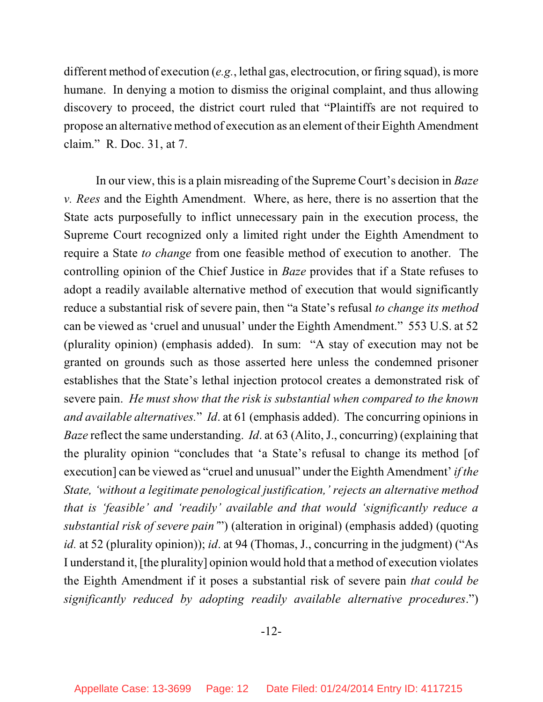different method of execution (*e.g.*, lethal gas, electrocution, or firing squad), is more humane. In denying a motion to dismiss the original complaint, and thus allowing discovery to proceed, the district court ruled that "Plaintiffs are not required to propose an alternative method of execution as an element of their Eighth Amendment claim." R. Doc. 31, at 7.

In our view, this is a plain misreading of the Supreme Court's decision in *Baze v. Rees* and the Eighth Amendment. Where, as here, there is no assertion that the State acts purposefully to inflict unnecessary pain in the execution process, the Supreme Court recognized only a limited right under the Eighth Amendment to require a State *to change* from one feasible method of execution to another. The controlling opinion of the Chief Justice in *Baze* provides that if a State refuses to adopt a readily available alternative method of execution that would significantly reduce a substantial risk of severe pain, then "a State's refusal *to change its method* can be viewed as 'cruel and unusual' under the Eighth Amendment." 553 U.S. at 52 (plurality opinion) (emphasis added). In sum: "A stay of execution may not be granted on grounds such as those asserted here unless the condemned prisoner establishes that the State's lethal injection protocol creates a demonstrated risk of severe pain. *He must show that the risk is substantial when compared to the known and available alternatives.*" *Id*. at 61 (emphasis added). The concurring opinions in *Baze* reflect the same understanding. *Id*. at 63 (Alito, J., concurring) (explaining that the plurality opinion "concludes that 'a State's refusal to change its method [of execution] can be viewed as "cruel and unusual" under the Eighth Amendment' *if the State, 'without a legitimate penological justification,' rejects an alternative method that is 'feasible' and 'readily' available and that would 'significantly reduce a substantial risk of severe pain'*") (alteration in original) (emphasis added) (quoting *id.* at 52 (plurality opinion)); *id*. at 94 (Thomas, J., concurring in the judgment) ("As I understand it, [the plurality] opinion would hold that a method of execution violates the Eighth Amendment if it poses a substantial risk of severe pain *that could be significantly reduced by adopting readily available alternative procedures*.")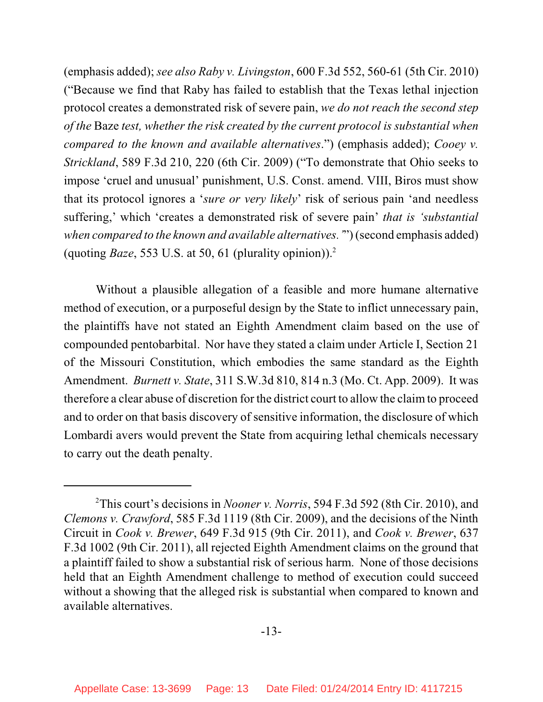(emphasis added); *see also Raby v. Livingston*, 600 F.3d 552, 560-61 (5th Cir. 2010) ("Because we find that Raby has failed to establish that the Texas lethal injection protocol creates a demonstrated risk of severe pain, *we do not reach the second step of the* Baze *test, whether the risk created by the current protocol is substantial when compared to the known and available alternatives*.") (emphasis added); *Cooey v. Strickland*, 589 F.3d 210, 220 (6th Cir. 2009) ("To demonstrate that Ohio seeks to impose 'cruel and unusual' punishment, U.S. Const. amend. VIII, Biros must show that its protocol ignores a '*sure or very likely*' risk of serious pain 'and needless suffering,' which 'creates a demonstrated risk of severe pain' *that is 'substantial when compared to the known and available alternatives.'*") (second emphasis added) (quoting *Baze*, 553 U.S. at 50, 61 (plurality opinion)).<sup>2</sup>

Without a plausible allegation of a feasible and more humane alternative method of execution, or a purposeful design by the State to inflict unnecessary pain, the plaintiffs have not stated an Eighth Amendment claim based on the use of compounded pentobarbital. Nor have they stated a claim under Article I, Section 21 of the Missouri Constitution, which embodies the same standard as the Eighth Amendment. *Burnett v. State*, 311 S.W.3d 810, 814 n.3 (Mo. Ct. App. 2009). It was therefore a clear abuse of discretion for the district court to allow the claim to proceed and to order on that basis discovery of sensitive information, the disclosure of which Lombardi avers would prevent the State from acquiring lethal chemicals necessary to carry out the death penalty.

This court's decisions in *Nooner v. Norris*, 594 F.3d 592 (8th Cir. 2010), and 2 *Clemons v. Crawford*, 585 F.3d 1119 (8th Cir. 2009), and the decisions of the Ninth Circuit in *Cook v. Brewer*, 649 F.3d 915 (9th Cir. 2011), and *Cook v. Brewer*, 637 F.3d 1002 (9th Cir. 2011), all rejected Eighth Amendment claims on the ground that a plaintiff failed to show a substantial risk of serious harm. None of those decisions held that an Eighth Amendment challenge to method of execution could succeed without a showing that the alleged risk is substantial when compared to known and available alternatives.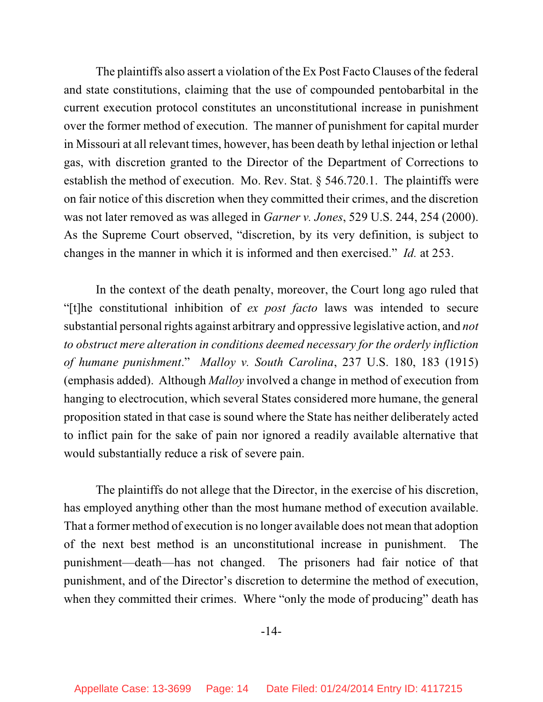The plaintiffs also assert a violation of the Ex Post Facto Clauses of the federal and state constitutions, claiming that the use of compounded pentobarbital in the current execution protocol constitutes an unconstitutional increase in punishment over the former method of execution. The manner of punishment for capital murder in Missouri at all relevant times, however, has been death by lethal injection or lethal gas, with discretion granted to the Director of the Department of Corrections to establish the method of execution. Mo. Rev. Stat. § 546.720.1. The plaintiffs were on fair notice of this discretion when they committed their crimes, and the discretion was not later removed as was alleged in *Garner v. Jones*, 529 U.S. 244, 254 (2000). As the Supreme Court observed, "discretion, by its very definition, is subject to changes in the manner in which it is informed and then exercised." *Id.* at 253.

In the context of the death penalty, moreover, the Court long ago ruled that "[t]he constitutional inhibition of *ex post facto* laws was intended to secure substantial personal rights against arbitrary and oppressive legislative action, and *not to obstruct mere alteration in conditions deemed necessary for the orderly infliction of humane punishment*." *Malloy v. South Carolina*, 237 U.S. 180, 183 (1915) (emphasis added). Although *Malloy* involved a change in method of execution from hanging to electrocution, which several States considered more humane, the general proposition stated in that case is sound where the State has neither deliberately acted to inflict pain for the sake of pain nor ignored a readily available alternative that would substantially reduce a risk of severe pain.

The plaintiffs do not allege that the Director, in the exercise of his discretion, has employed anything other than the most humane method of execution available. That a former method of execution is no longer available does not mean that adoption of the next best method is an unconstitutional increase in punishment. The punishment—death—has not changed. The prisoners had fair notice of that punishment, and of the Director's discretion to determine the method of execution, when they committed their crimes. Where "only the mode of producing" death has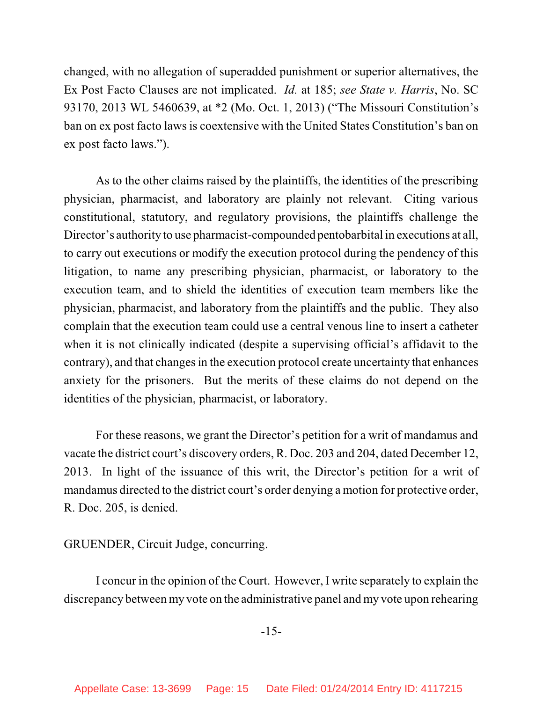changed, with no allegation of superadded punishment or superior alternatives, the Ex Post Facto Clauses are not implicated. *Id.* at 185; *see State v. Harris*, No. SC 93170, 2013 WL 5460639, at \*2 (Mo. Oct. 1, 2013) ("The Missouri Constitution's ban on ex post facto laws is coextensive with the United States Constitution's ban on ex post facto laws.").

As to the other claims raised by the plaintiffs, the identities of the prescribing physician, pharmacist, and laboratory are plainly not relevant. Citing various constitutional, statutory, and regulatory provisions, the plaintiffs challenge the Director's authority to use pharmacist-compounded pentobarbital in executions at all, to carry out executions or modify the execution protocol during the pendency of this litigation, to name any prescribing physician, pharmacist, or laboratory to the execution team, and to shield the identities of execution team members like the physician, pharmacist, and laboratory from the plaintiffs and the public. They also complain that the execution team could use a central venous line to insert a catheter when it is not clinically indicated (despite a supervising official's affidavit to the contrary), and that changes in the execution protocol create uncertainty that enhances anxiety for the prisoners. But the merits of these claims do not depend on the identities of the physician, pharmacist, or laboratory.

For these reasons, we grant the Director's petition for a writ of mandamus and vacate the district court's discovery orders, R. Doc. 203 and 204, dated December 12, 2013. In light of the issuance of this writ, the Director's petition for a writ of mandamus directed to the district court's order denying a motion for protective order, R. Doc. 205, is denied.

GRUENDER, Circuit Judge, concurring.

I concur in the opinion of the Court. However, I write separately to explain the discrepancy between my vote on the administrative panel and my vote upon rehearing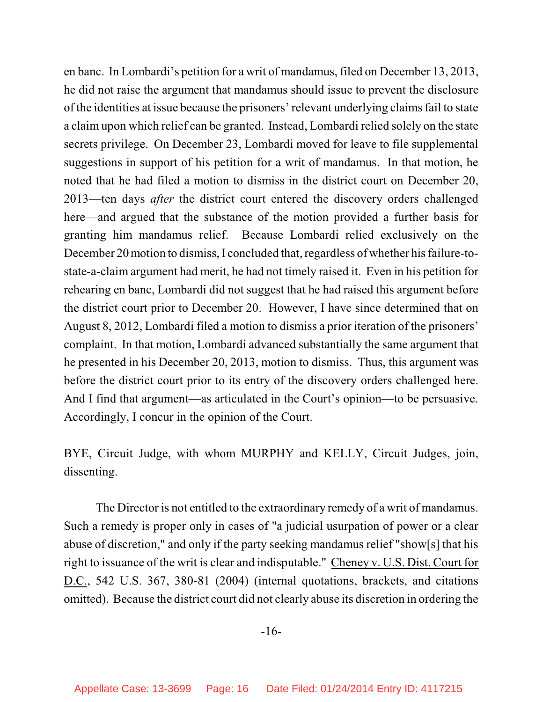en banc. In Lombardi's petition for a writ of mandamus, filed on December 13, 2013, he did not raise the argument that mandamus should issue to prevent the disclosure of the identities at issue because the prisoners' relevant underlying claims fail to state a claim upon which relief can be granted. Instead, Lombardi relied solely on the state secrets privilege. On December 23, Lombardi moved for leave to file supplemental suggestions in support of his petition for a writ of mandamus. In that motion, he noted that he had filed a motion to dismiss in the district court on December 20, 2013—ten days *after* the district court entered the discovery orders challenged here—and argued that the substance of the motion provided a further basis for granting him mandamus relief. Because Lombardi relied exclusively on the December 20 motion to dismiss, I concluded that, regardless of whether his failure-tostate-a-claim argument had merit, he had not timely raised it. Even in his petition for rehearing en banc, Lombardi did not suggest that he had raised this argument before the district court prior to December 20. However, I have since determined that on August 8, 2012, Lombardi filed a motion to dismiss a prior iteration of the prisoners' complaint. In that motion, Lombardi advanced substantially the same argument that he presented in his December 20, 2013, motion to dismiss. Thus, this argument was before the district court prior to its entry of the discovery orders challenged here. And I find that argument—as articulated in the Court's opinion—to be persuasive. Accordingly, I concur in the opinion of the Court.

BYE, Circuit Judge, with whom MURPHY and KELLY, Circuit Judges, join, dissenting.

The Director is not entitled to the extraordinary remedy of a writ of mandamus. Such a remedy is proper only in cases of "a judicial usurpation of power or a clear abuse of discretion," and only if the party seeking mandamus relief "show[s] that his right to issuance of the writ is clear and indisputable." Cheney v. U.S. Dist. Court for D.C., 542 U.S. 367, 380-81 (2004) (internal quotations, brackets, and citations omitted). Because the district court did not clearly abuse its discretion in ordering the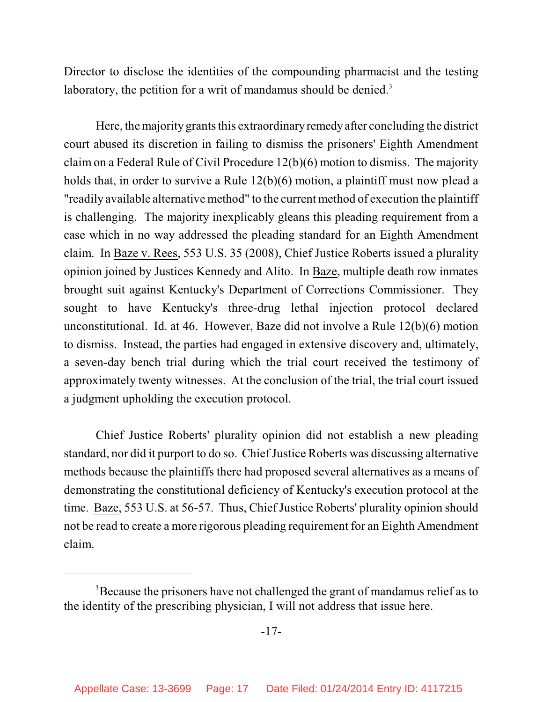Director to disclose the identities of the compounding pharmacist and the testing laboratory, the petition for a writ of mandamus should be denied.<sup>3</sup>

Here, the majority grants this extraordinary remedy after concluding the district court abused its discretion in failing to dismiss the prisoners' Eighth Amendment claim on a Federal Rule of Civil Procedure 12(b)(6) motion to dismiss. The majority holds that, in order to survive a Rule 12(b)(6) motion, a plaintiff must now plead a "readily available alternative method" to the current method of execution the plaintiff is challenging. The majority inexplicably gleans this pleading requirement from a case which in no way addressed the pleading standard for an Eighth Amendment claim. In Baze v. Rees, 553 U.S. 35 (2008), Chief Justice Roberts issued a plurality opinion joined by Justices Kennedy and Alito. In Baze, multiple death row inmates brought suit against Kentucky's Department of Corrections Commissioner. They sought to have Kentucky's three-drug lethal injection protocol declared unconstitutional. Id. at 46. However, Baze did not involve a Rule 12(b)(6) motion to dismiss. Instead, the parties had engaged in extensive discovery and, ultimately, a seven-day bench trial during which the trial court received the testimony of approximately twenty witnesses. At the conclusion of the trial, the trial court issued a judgment upholding the execution protocol.

Chief Justice Roberts' plurality opinion did not establish a new pleading standard, nor did it purport to do so. Chief Justice Roberts was discussing alternative methods because the plaintiffs there had proposed several alternatives as a means of demonstrating the constitutional deficiency of Kentucky's execution protocol at the time. Baze, 553 U.S. at 56-57. Thus, Chief Justice Roberts' plurality opinion should not be read to create a more rigorous pleading requirement for an Eighth Amendment claim.

<sup>&</sup>lt;sup>3</sup>Because the prisoners have not challenged the grant of mandamus relief as to the identity of the prescribing physician, I will not address that issue here.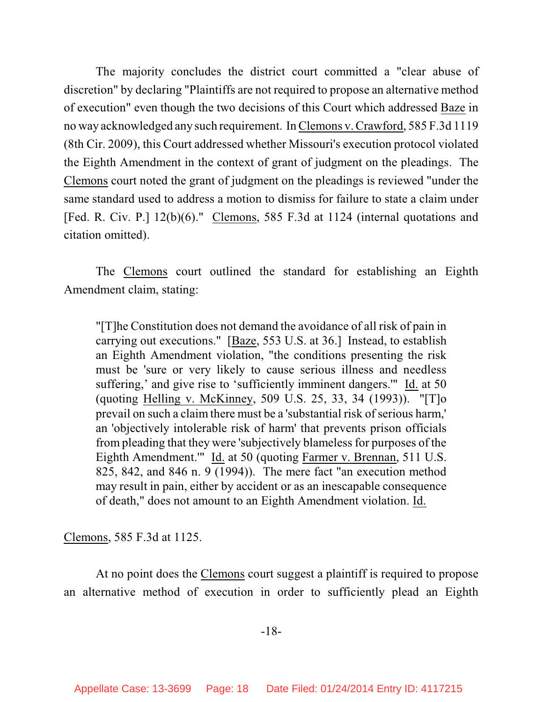The majority concludes the district court committed a "clear abuse of discretion" by declaring "Plaintiffs are not required to propose an alternative method of execution" even though the two decisions of this Court which addressed Baze in no way acknowledged any such requirement. InClemons v. Crawford, 585 F.3d 1119 (8th Cir. 2009), this Court addressed whether Missouri's execution protocol violated the Eighth Amendment in the context of grant of judgment on the pleadings. The Clemons court noted the grant of judgment on the pleadings is reviewed "under the same standard used to address a motion to dismiss for failure to state a claim under [Fed. R. Civ. P.] 12(b)(6)." Clemons, 585 F.3d at 1124 (internal quotations and citation omitted).

The Clemons court outlined the standard for establishing an Eighth Amendment claim, stating:

"[T]he Constitution does not demand the avoidance of all risk of pain in carrying out executions." [Baze, 553 U.S. at 36.] Instead, to establish an Eighth Amendment violation, "the conditions presenting the risk must be 'sure or very likely to cause serious illness and needless suffering,' and give rise to 'sufficiently imminent dangers.'" Id. at 50 (quoting Helling v. McKinney, 509 U.S. 25, 33, 34 (1993)). "[T]o prevail on such a claim there must be a 'substantial risk of serious harm,' an 'objectively intolerable risk of harm' that prevents prison officials from pleading that they were 'subjectively blameless for purposes of the Eighth Amendment." Id. at 50 (quoting Farmer v. Brennan, 511 U.S. 825, 842, and 846 n. 9 (1994)). The mere fact "an execution method may result in pain, either by accident or as an inescapable consequence of death," does not amount to an Eighth Amendment violation. Id.

Clemons, 585 F.3d at 1125.

At no point does the Clemons court suggest a plaintiff is required to propose an alternative method of execution in order to sufficiently plead an Eighth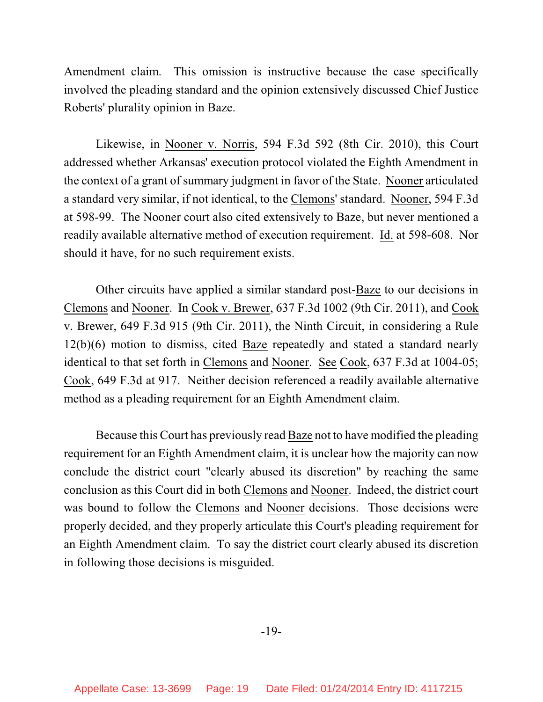Amendment claim. This omission is instructive because the case specifically involved the pleading standard and the opinion extensively discussed Chief Justice Roberts' plurality opinion in Baze.

Likewise, in Nooner v. Norris, 594 F.3d 592 (8th Cir. 2010), this Court addressed whether Arkansas' execution protocol violated the Eighth Amendment in the context of a grant of summary judgment in favor of the State. Nooner articulated a standard very similar, if not identical, to the Clemons' standard. Nooner, 594 F.3d at 598-99. The Nooner court also cited extensively to Baze, but never mentioned a readily available alternative method of execution requirement. Id. at 598-608. Nor should it have, for no such requirement exists.

Other circuits have applied a similar standard post-Baze to our decisions in Clemons and Nooner. In Cook v. Brewer, 637 F.3d 1002 (9th Cir. 2011), and Cook v. Brewer, 649 F.3d 915 (9th Cir. 2011), the Ninth Circuit, in considering a Rule 12(b)(6) motion to dismiss, cited Baze repeatedly and stated a standard nearly identical to that set forth in Clemons and Nooner. See Cook, 637 F.3d at 1004-05; Cook, 649 F.3d at 917. Neither decision referenced a readily available alternative method as a pleading requirement for an Eighth Amendment claim.

Because this Court has previously read Baze not to have modified the pleading requirement for an Eighth Amendment claim, it is unclear how the majority can now conclude the district court "clearly abused its discretion" by reaching the same conclusion as this Court did in both Clemons and Nooner. Indeed, the district court was bound to follow the Clemons and Nooner decisions. Those decisions were properly decided, and they properly articulate this Court's pleading requirement for an Eighth Amendment claim. To say the district court clearly abused its discretion in following those decisions is misguided.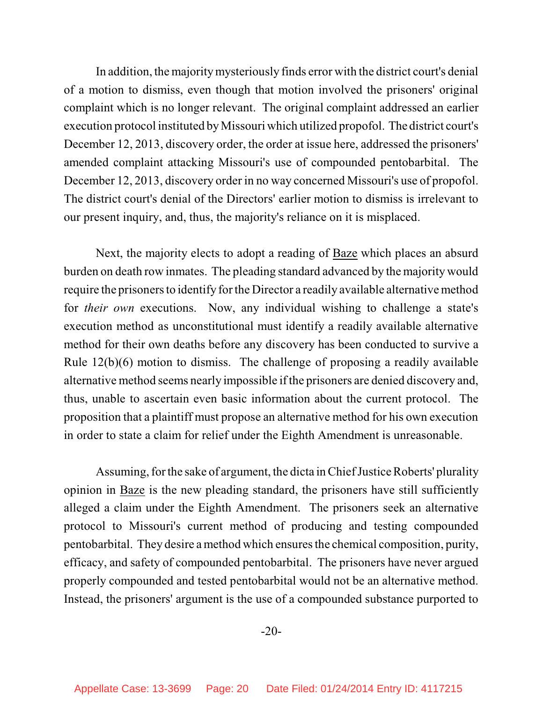In addition, the majority mysteriously finds error with the district court's denial of a motion to dismiss, even though that motion involved the prisoners' original complaint which is no longer relevant. The original complaint addressed an earlier execution protocol instituted by Missouri which utilized propofol. The district court's December 12, 2013, discovery order, the order at issue here, addressed the prisoners' amended complaint attacking Missouri's use of compounded pentobarbital. The December 12, 2013, discovery order in no way concerned Missouri's use of propofol. The district court's denial of the Directors' earlier motion to dismiss is irrelevant to our present inquiry, and, thus, the majority's reliance on it is misplaced.

Next, the majority elects to adopt a reading of Baze which places an absurd burden on death row inmates. The pleading standard advanced by the majority would require the prisoners to identify for the Director a readily available alternative method for *their own* executions. Now, any individual wishing to challenge a state's execution method as unconstitutional must identify a readily available alternative method for their own deaths before any discovery has been conducted to survive a Rule 12(b)(6) motion to dismiss. The challenge of proposing a readily available alternative method seems nearly impossible if the prisoners are denied discovery and, thus, unable to ascertain even basic information about the current protocol. The proposition that a plaintiff must propose an alternative method for his own execution in order to state a claim for relief under the Eighth Amendment is unreasonable.

Assuming, for the sake of argument, the dicta inChief Justice Roberts' plurality opinion in Baze is the new pleading standard, the prisoners have still sufficiently alleged a claim under the Eighth Amendment. The prisoners seek an alternative protocol to Missouri's current method of producing and testing compounded pentobarbital. They desire a method which ensuresthe chemical composition, purity, efficacy, and safety of compounded pentobarbital. The prisoners have never argued properly compounded and tested pentobarbital would not be an alternative method. Instead, the prisoners' argument is the use of a compounded substance purported to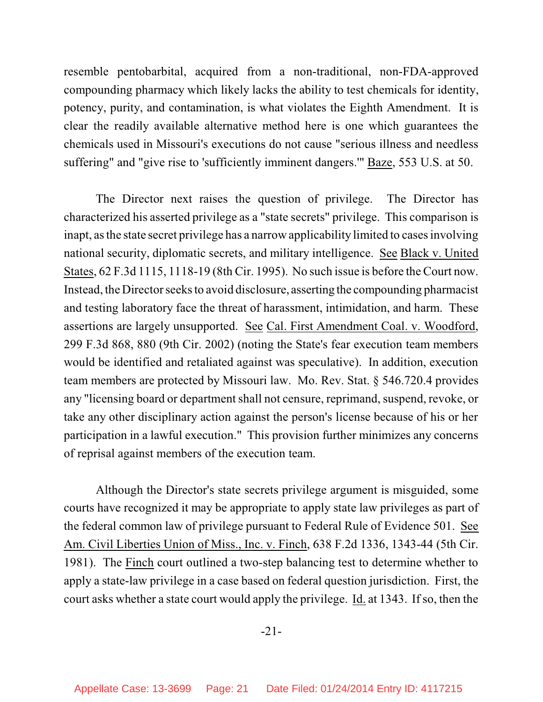resemble pentobarbital, acquired from a non-traditional, non-FDA-approved compounding pharmacy which likely lacks the ability to test chemicals for identity, potency, purity, and contamination, is what violates the Eighth Amendment. It is clear the readily available alternative method here is one which guarantees the chemicals used in Missouri's executions do not cause "serious illness and needless suffering" and "give rise to 'sufficiently imminent dangers.'" Baze, 553 U.S. at 50.

The Director next raises the question of privilege. The Director has characterized his asserted privilege as a "state secrets" privilege. This comparison is inapt, as the state secret privilege has a narrow applicability limited to cases involving national security, diplomatic secrets, and military intelligence. See Black v. United States, 62 F.3d 1115, 1118-19 (8th Cir. 1995). No such issue is before the Court now. Instead, the Directorseeks to avoid disclosure, asserting the compounding pharmacist and testing laboratory face the threat of harassment, intimidation, and harm. These assertions are largely unsupported. See Cal. First Amendment Coal. v. Woodford, 299 F.3d 868, 880 (9th Cir. 2002) (noting the State's fear execution team members would be identified and retaliated against was speculative). In addition, execution team members are protected by Missouri law. Mo. Rev. Stat. § 546.720.4 provides any "licensing board or department shall not censure, reprimand, suspend, revoke, or take any other disciplinary action against the person's license because of his or her participation in a lawful execution." This provision further minimizes any concerns of reprisal against members of the execution team.

Although the Director's state secrets privilege argument is misguided, some courts have recognized it may be appropriate to apply state law privileges as part of the federal common law of privilege pursuant to Federal Rule of Evidence 501. See Am. Civil Liberties Union of Miss., Inc. v. Finch, 638 F.2d 1336, 1343-44 (5th Cir. 1981). The Finch court outlined a two-step balancing test to determine whether to apply a state-law privilege in a case based on federal question jurisdiction. First, the court asks whether a state court would apply the privilege. Id. at 1343. If so, then the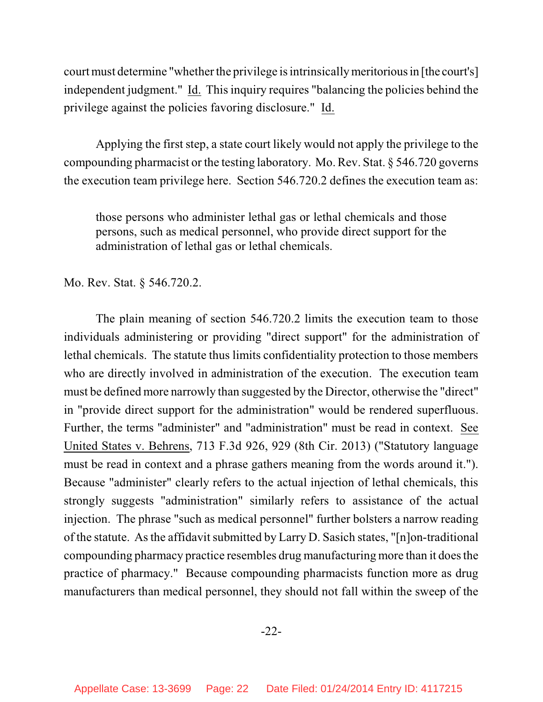court must determine "whether the privilege is intrinsically meritorious in [the court's] independent judgment." Id. This inquiry requires "balancing the policies behind the privilege against the policies favoring disclosure." Id.

Applying the first step, a state court likely would not apply the privilege to the compounding pharmacist or the testing laboratory. Mo. Rev. Stat. § 546.720 governs the execution team privilege here. Section 546.720.2 defines the execution team as:

those persons who administer lethal gas or lethal chemicals and those persons, such as medical personnel, who provide direct support for the administration of lethal gas or lethal chemicals.

## Mo. Rev. Stat. § 546.720.2.

The plain meaning of section 546.720.2 limits the execution team to those individuals administering or providing "direct support" for the administration of lethal chemicals. The statute thus limits confidentiality protection to those members who are directly involved in administration of the execution. The execution team must be defined more narrowly than suggested by the Director, otherwise the "direct" in "provide direct support for the administration" would be rendered superfluous. Further, the terms "administer" and "administration" must be read in context. See United States v. Behrens, 713 F.3d 926, 929 (8th Cir. 2013) ("Statutory language must be read in context and a phrase gathers meaning from the words around it."). Because "administer" clearly refers to the actual injection of lethal chemicals, this strongly suggests "administration" similarly refers to assistance of the actual injection. The phrase "such as medical personnel" further bolsters a narrow reading of the statute. As the affidavit submitted by Larry D. Sasich states, "[n]on-traditional compounding pharmacy practice resembles drug manufacturing more than it doesthe practice of pharmacy." Because compounding pharmacists function more as drug manufacturers than medical personnel, they should not fall within the sweep of the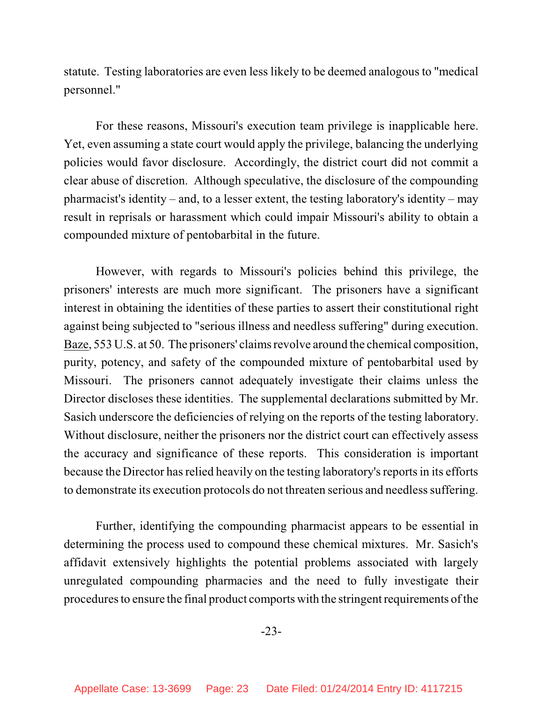statute. Testing laboratories are even less likely to be deemed analogous to "medical personnel."

For these reasons, Missouri's execution team privilege is inapplicable here. Yet, even assuming a state court would apply the privilege, balancing the underlying policies would favor disclosure. Accordingly, the district court did not commit a clear abuse of discretion. Although speculative, the disclosure of the compounding pharmacist's identity – and, to a lesser extent, the testing laboratory's identity – may result in reprisals or harassment which could impair Missouri's ability to obtain a compounded mixture of pentobarbital in the future.

However, with regards to Missouri's policies behind this privilege, the prisoners' interests are much more significant. The prisoners have a significant interest in obtaining the identities of these parties to assert their constitutional right against being subjected to "serious illness and needless suffering" during execution. Baze, 553 U.S. at 50. The prisoners' claims revolve around the chemical composition, purity, potency, and safety of the compounded mixture of pentobarbital used by Missouri. The prisoners cannot adequately investigate their claims unless the Director discloses these identities. The supplemental declarations submitted by Mr. Sasich underscore the deficiencies of relying on the reports of the testing laboratory. Without disclosure, neither the prisoners nor the district court can effectively assess the accuracy and significance of these reports. This consideration is important because the Director has relied heavily on the testing laboratory's reports in its efforts to demonstrate its execution protocols do not threaten serious and needless suffering.

Further, identifying the compounding pharmacist appears to be essential in determining the process used to compound these chemical mixtures. Mr. Sasich's affidavit extensively highlights the potential problems associated with largely unregulated compounding pharmacies and the need to fully investigate their procedures to ensure the final product comports with the stringent requirements of the